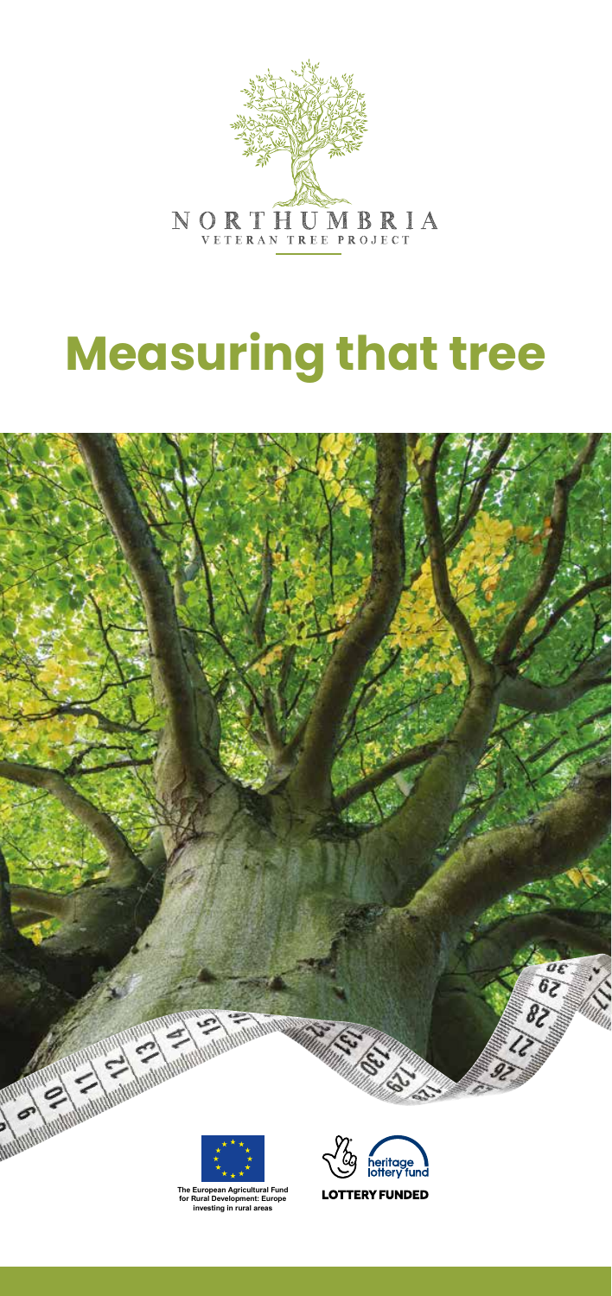

# **Measuring that tree**





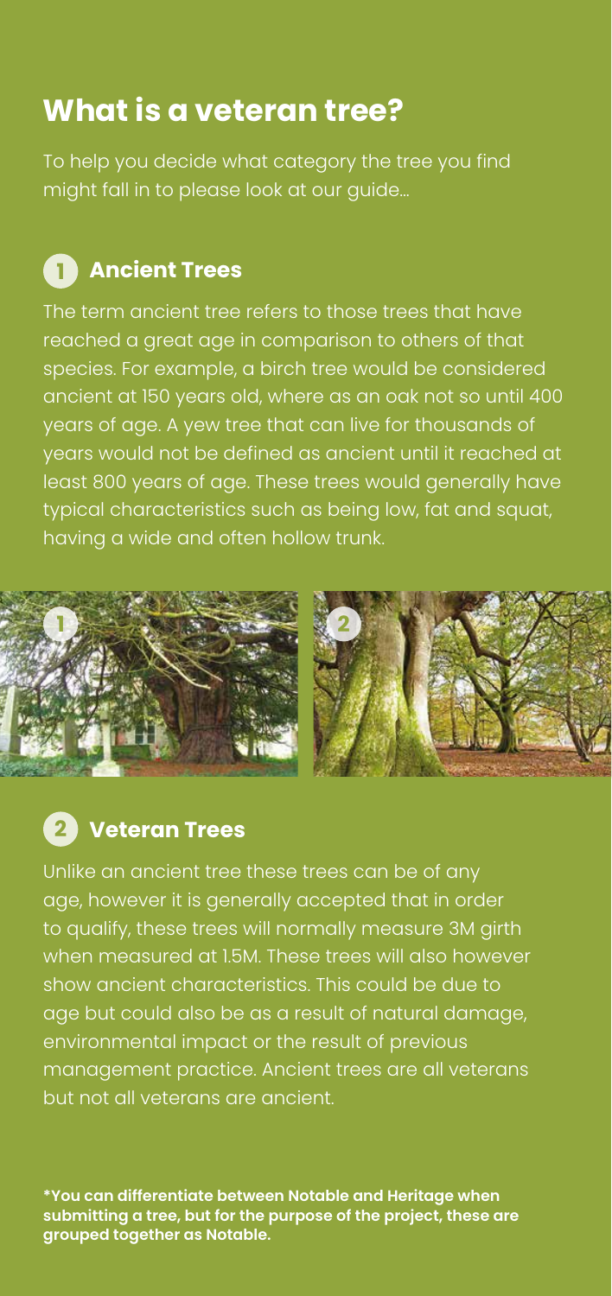## **What is a veteran tree?**

To help you decide what category the tree you find might fall in to please look at our guide…

## **1** Ancient Trees

The term ancient tree refers to those trees that have reached a great age in comparison to others of that species. For example, a birch tree would be considered ancient at 150 years old, where as an oak not so until 400 years of age. A yew tree that can live for thousands of years would not be defined as ancient until it reached at least 800 years of age. These trees would generally have typical characteristics such as being low, fat and squat, having a wide and often hollow trunk.



#### **Veteran Trees 2**

Unlike an ancient tree these trees can be of any age, however it is generally accepted that in order to qualify, these trees will normally measure 3M girth when measured at 1.5M. These trees will also however show ancient characteristics. This could be due to age but could also be as a result of natural damage, environmental impact or the result of previous management practice. Ancient trees are all veterans but not all veterans are ancient.

**\*You can differentiate between Notable and Heritage when submitting a tree, but for the purpose of the project, these are grouped together as Notable.**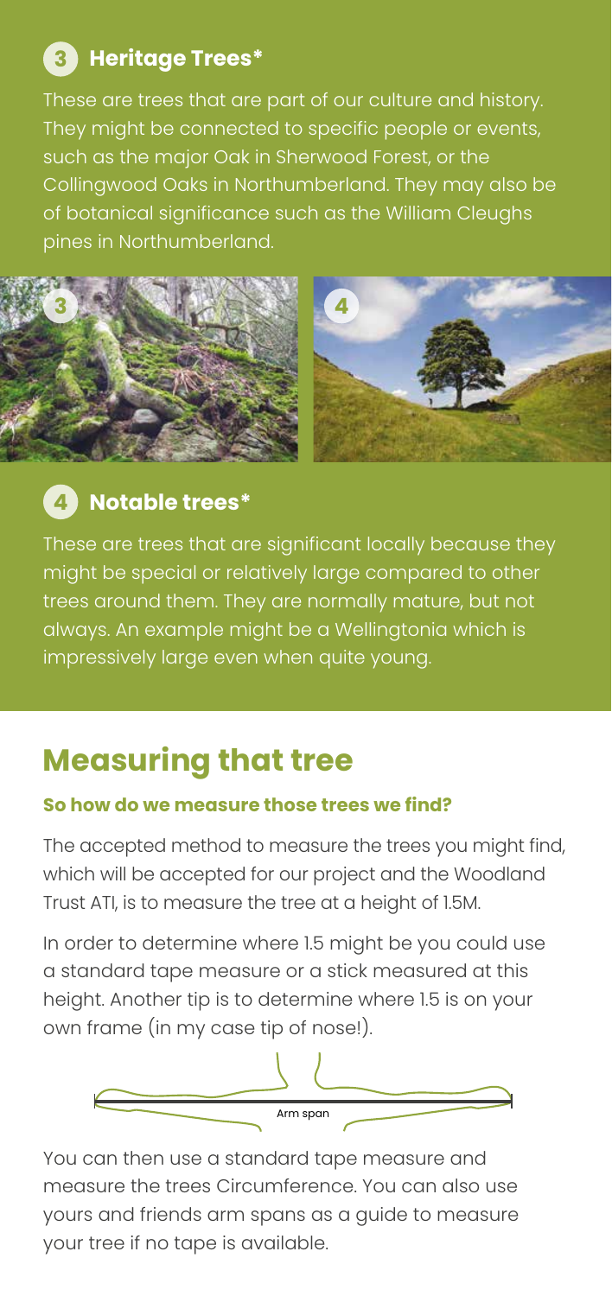## **Heritage Trees\* 3**

These are trees that are part of our culture and history. They might be connected to specific people or events, such as the major Oak in Sherwood Forest, or the Collingwood Oaks in Northumberland. They may also be of botanical significance such as the William Cleughs pines in Northumberland.



### **Notable trees\* 4**

These are trees that are significant locally because they might be special or relatively large compared to other trees around them. They are normally mature, but not always. An example might be a Wellingtonia which is impressively large even when quite young.

## **Measuring that tree**

#### **So how do we measure those trees we find?**

The accepted method to measure the trees you might find, which will be accepted for our project and the Woodland Trust ATI, is to measure the tree at a height of 1.5M.

In order to determine where 1.5 might be you could use a standard tape measure or a stick measured at this height. Another tip is to determine where 1.5 is on your own frame (in my case tip of nose!).



You can then use a standard tape measure and measure the trees Circumference. You can also use yours and friends arm spans as a guide to measure your tree if no tape is available.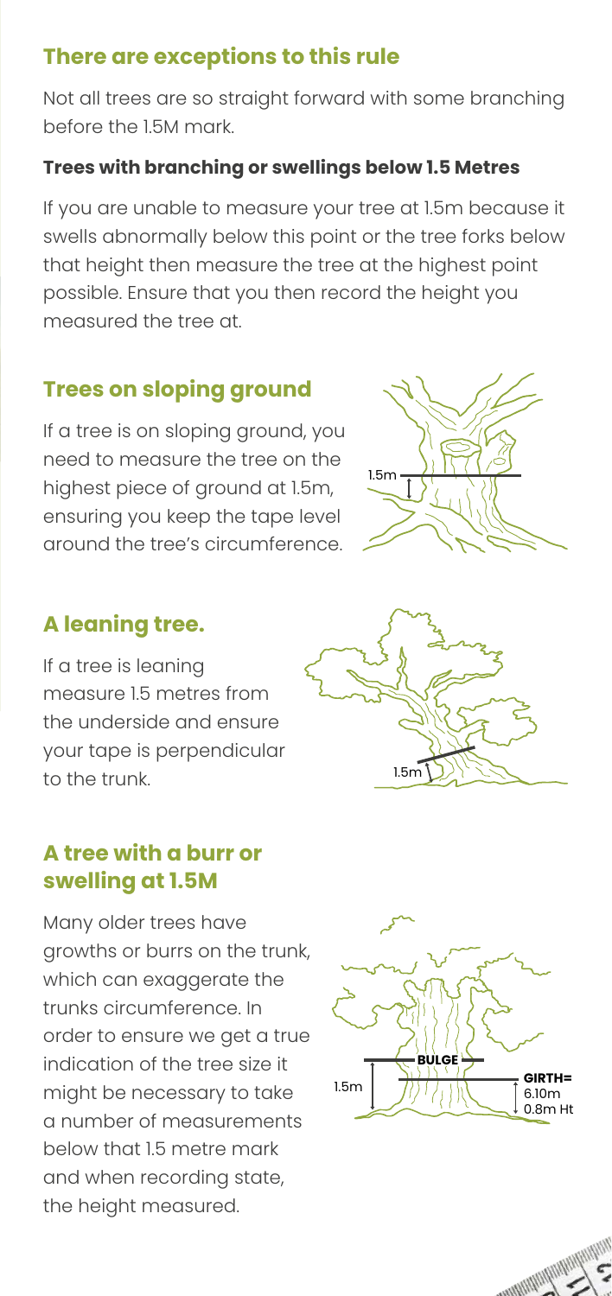#### **There are exceptions to this rule**

Not all trees are so straight forward with some branching before the 1.5M mark.

#### **Trees with branching or swellings below 1.5 Metres**

If you are unable to measure your tree at 1.5m because it swells abnormally below this point or the tree forks below that height then measure the tree at the highest point possible. Ensure that you then record the height you measured the tree at.

#### **Trees on sloping ground**

If a tree is on sloping ground, you need to measure the tree on the highest piece of ground at 1.5m, ensuring you keep the tape level around the tree's circumference.



#### **A leaning tree.**

If a tree is leaning measure 1.5 metres from the underside and ensure your tape is perpendicular to the trunk.

#### **A tree with a burr or swelling at 1.5M**

Many older trees have growths or burrs on the trunk, which can exaggerate the trunks circumference. In order to ensure we get a true indication of the tree size it might be necessary to take a number of measurements below that 1.5 metre mark and when recording state, the height measured.



1.5m

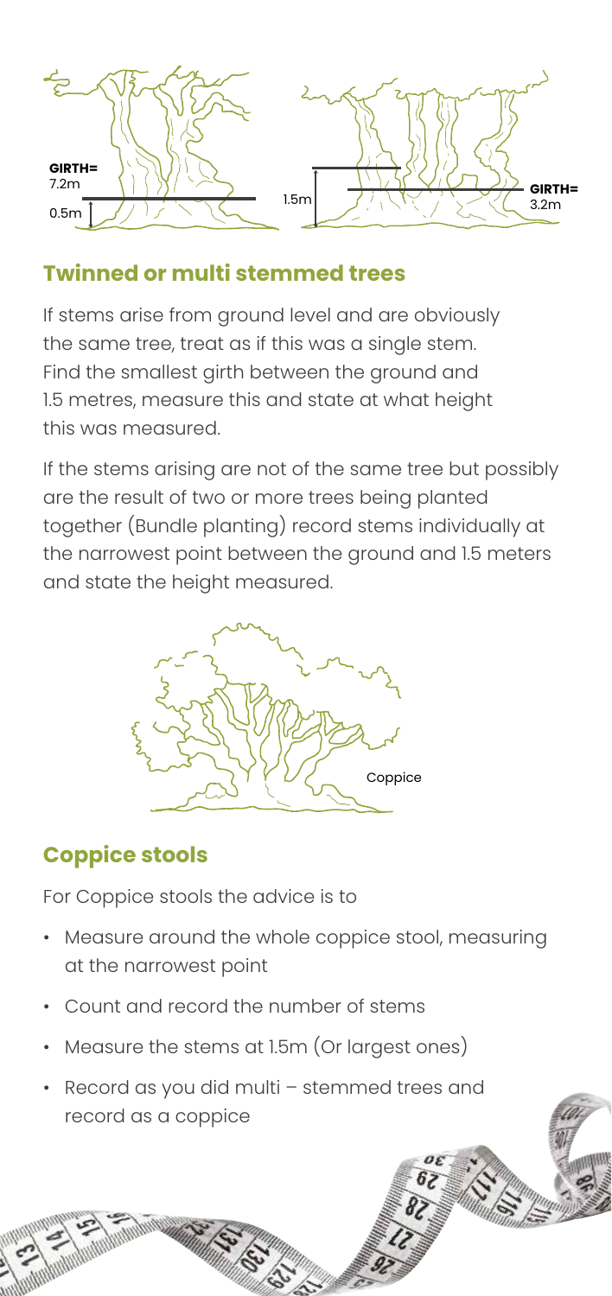

#### **Twinned or multi stemmed trees**

If stems arise from ground level and are obviously the same tree, treat as if this was a single stem. Find the smallest girth between the ground and 1.5 metres, measure this and state at what height this was measured.

If the stems arising are not of the same tree but possibly are the result of two or more trees being planted together (Bundle planting) record stems individually at the narrowest point between the ground and 1.5 meters and state the height measured.



#### **Coppice stools**

For Coppice stools the advice is to

- Measure around the whole coppice stool, measuring at the narrowest point
- Count and record the number of stems
- Measure the stems at 1.5m (Or largest ones)
- Record as you did multi stemmed trees and record as a coppice